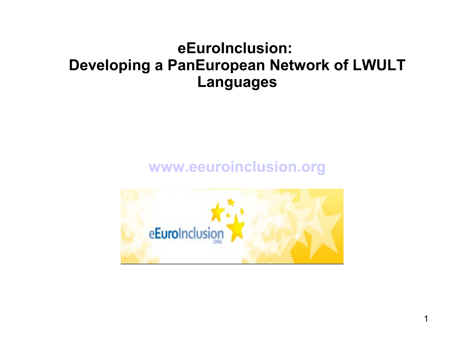## **eEuroInclusion: Developing a PanEuropean Network of LWULT Languages**

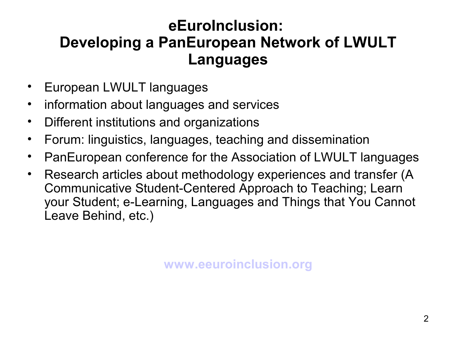## **eEuroInclusion: Developing a PanEuropean Network of LWULT Languages**

- European LWULT languages
- information about languages and services
- Different institutions and organizations
- Forum: linguistics, languages, teaching and dissemination
- PanEuropean conference for the Association of LWULT languages
- Research articles about methodology experiences and transfer (A Communicative Student-Centered Approach to Teaching; Learn your Student; e-Learning, Languages and Things that You Cannot Leave Behind, etc.)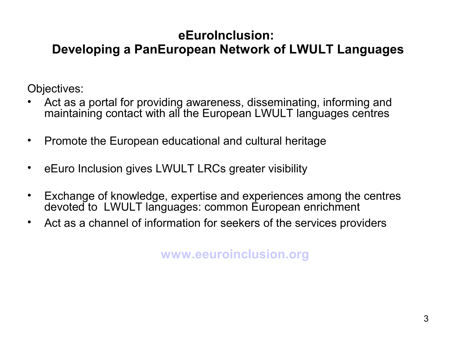## **eEuroInclusion: Developing a PanEuropean Network of LWULT Languages**

Objectives:

- Act as a portal for providing awareness, disseminating, informing and maintaining contact with all the European LWULT languages centres
- Promote the European educational and cultural heritage
- eEuro Inclusion gives LWULT LRCs greater visibility
- Exchange of knowledge, expertise and experiences among the centres devoted to LWULT languages: common European enrichment
- Act as a channel of information for seekers of the services providers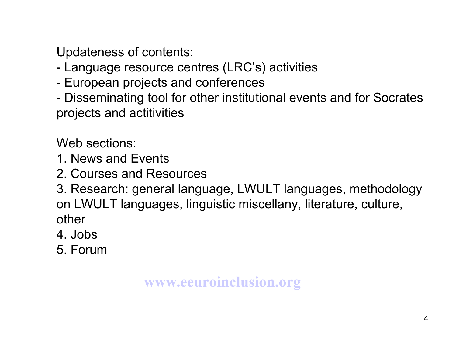Updateness of contents:

- Language resource centres (LRC's) activities
- European projects and conferences
- Disseminating tool for other institutional events and for Socrates projects and actitivities

Web sections:

- 1. News and Events
- 2. Courses and Resources

3. Research: general language, LWULT languages, methodology on LWULT languages, linguistic miscellany, literature, culture, other

- 4. Jobs
- 5. Forum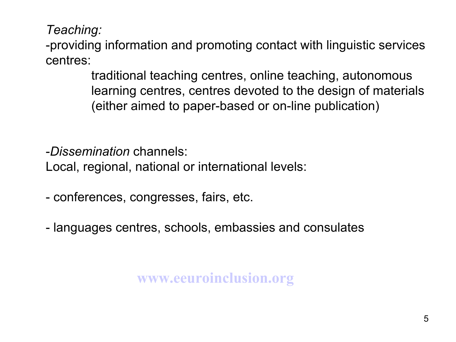*Teaching:* 

-providing information and promoting contact with linguistic services centres:

> traditional teaching centres, online teaching, autonomous learning centres, centres devoted to the design of materials (either aimed to paper-based or on-line publication)

-*Dissemination* channels:

Local, regional, national or international levels:

- conferences, congresses, fairs, etc.
- languages centres, schools, embassies and consulates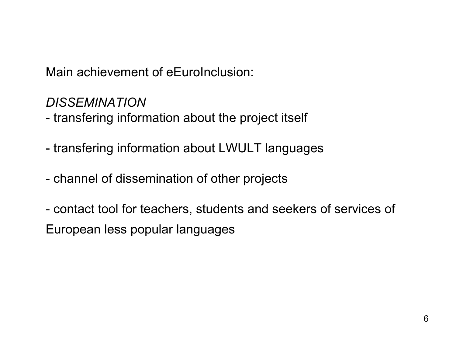Main achievement of eEuroInclusion:

*DISSEMINATION*

- transfering information about the project itself

- transfering information about LWULT languages
- channel of dissemination of other projects
- contact tool for teachers, students and seekers of services of European less popular languages